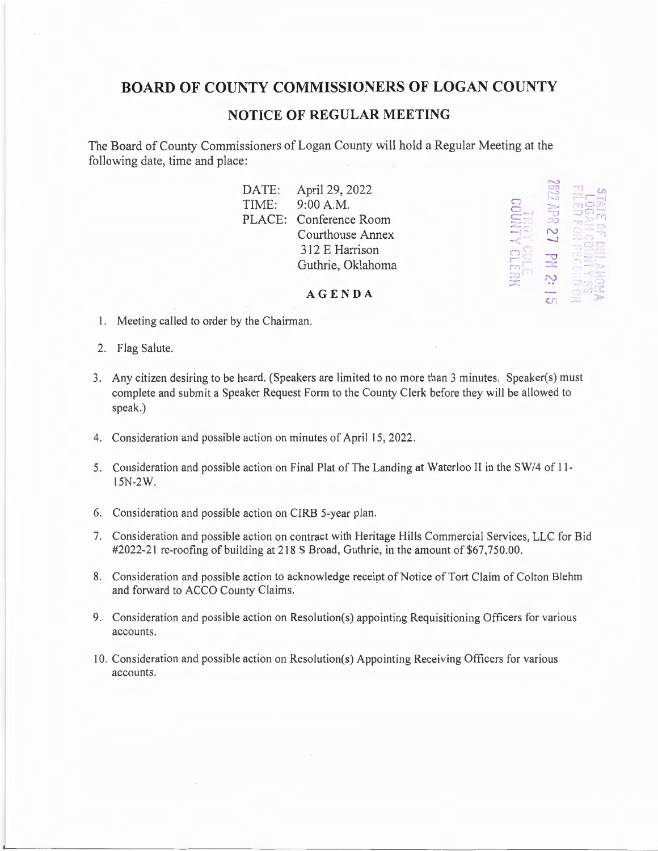# **BOARD OF COUNTY COMMISSIONERS OF LOGAN COUNTY**

## **NOTICE OF REGULAR MEETING**

The Board of County Commissioners of Logan County will hold a Regular Meeting at the following date, time and place:

> DATE: TIME: PLACE: Conference Room April 29, 2022 9:00 A.M. Courthouse Annex 312 E Harrison Guthrie, Oklahoma

.<br>...<br>...<br>...  $\mathbb{C}^{\mathbb{C}}$  $\cdot$ **2** *r.*  $\overline{51}$  *r.*  $\overline{12}$  *r.*  $\overline{21}$  $u$   $\alpha$  $\mathcal{L}^{\mathcal{L}}$  $\frac{1}{2}$ **·---r40. oCJ:r ...** - ' '

#### **AGENDA**

- I. Meeting called to order by the Chairman.
- 2. Flag Salute.
- 3. Any citizen desiring to be heard. (Speakers are limited to no more than 3 minutes. Speaker(s) must complete and submit a Speaker Request Form to the County Clerk before they will be allowed to speak.)
- 4. Consideration and possible action on minutes of April 15, 2022.
- 5. Consideration and possible action on Final Plat of The Landing at Waterloo II in the SW/4 of l ll 5N-2W.
- 6. Consideration and possible action on CIRB 5-year plan.
- 7. Consideration and possible action on contract with Heritage Hills Commercial Services, LLC for Bid #2022-21 re-roofing of building at 218 S Broad, Guthrie, in the amount of \$67,750.00.
- 8. Consideration and possible action to acknowledge receipt of Notice of Tort Claim of Colton Blehm and forward to ACCO County Claims.
- 9. Consideration and possible action on Resolution(s) appointing Requisitioning Officers for various accounts.
- 10. Consideration and possible action on Resolution(s) Appointing Receiving Officers for various accounts.